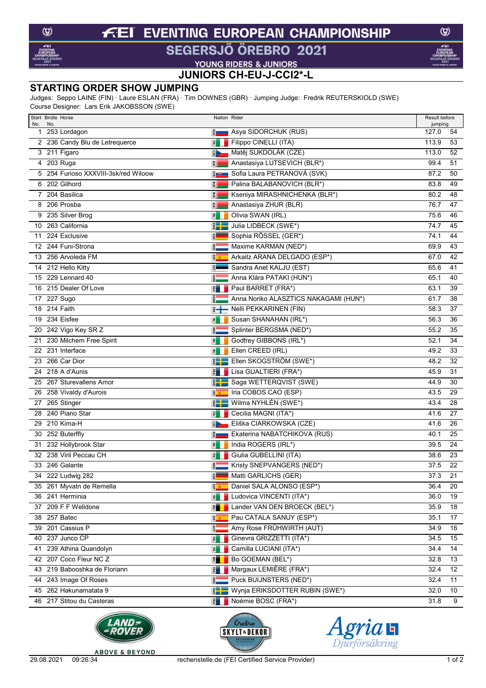#### **EVENTING EUROPEAN CHAMPIONSHIP**  $\boldsymbol{\tau}$ ΞI

## SEGERSJÖ ÖREBRO 2021

 $\circledcirc$ 

**VOUNG RIDERS & JUNIORS<br>JUNIORS CH-EU-J-CCI2\*-L** 

### **STARTING ORDER SHOW JUMPING**

Judges: Seppo LAINE (FIN) · Laure ESLAN (FRA) · Tim DOWNES (GBR) · Jumping Judge: Fredrik REUTERSKIOLD (SWE) Course Designer: Lars Erik JAKOBSSON (SWE)

| Start Bridle Horse<br>No.<br>No. |                                      | Nation Rider                |                                       | Result before<br>jumping |    |
|----------------------------------|--------------------------------------|-----------------------------|---------------------------------------|--------------------------|----|
| 1 253 Lordagon                   |                                      | <u>និ ——</u>                | Asya SIDORCHUK (RUS)                  | 127.0                    | 54 |
|                                  | 2 236 Candy Blu de Letrequerce       | 引出                          | Filippo CINELLI (ITA)                 | 113.9                    | 53 |
| 3 211 Figaro                     |                                      | $\frac{1}{2}$               | Matěj SUKDOLÁK (CZE)                  | 113.0                    | 52 |
| 4 203 Ruga                       |                                      | 買                           | Anastasiya LUTSEVICH (BLR*)           | 99.4                     | 51 |
|                                  | 5 254 Furioso XXXVIII-3sk/red Wiloow | $rac{1}{2}$                 | Sofia Laura PETRANOVÁ (SVK)           | 87.2                     | 50 |
| 6 202 Gilhord                    |                                      | 胃                           | Palina BALABANOVICH (BLR*)            | 83.8                     | 49 |
| $7^{\circ}$                      | 204 Basilica                         | 胃                           | Kseniya MIRASHNICHENKA (BLR*)         | 80.2                     | 48 |
| 8 206 Prosba                     |                                      | 買                           | Anastasiya ZHUR (BLR)                 | 76.7                     | 47 |
|                                  | 9 235 Silver Brog                    | 国                           | Olivia SWAN (IRL)                     | 75.6                     | 46 |
| 10 263 California                |                                      | $\sum_{i=1}^{n}$            | Julia LIDBECK (SWE*)                  | 74.7                     | 45 |
| 11                               | 224 Exclusive                        | <b>GER</b>                  | Sophia RÖSSEL (GER*)                  | 74.1                     | 44 |
|                                  | 12 244 Funi-Strona                   | <b>RED</b>                  | Maxime KARMAN (NED*)                  | 69.9                     | 43 |
|                                  | 13 256 Arvoleda FM                   | g <sub>a</sub>              | Arkaitz ARANA DELGADO (ESP*)          | 67.0                     | 42 |
| 14 212 Hello Kitty               |                                      | $5 -$                       | Sandra Anet KALJU (EST)               | 65.6                     | 41 |
|                                  | 15 229 Lennard 40                    |                             | Anna Klára PATAKI (HUN*)              | 65.1                     | 40 |
|                                  | 16 215 Dealer Of Love                | $\frac{1}{\sqrt{2}}$        | Paul BARRET (FRA*)                    | 63.1                     | 39 |
| 17 227 Sugo                      |                                      | 릷                           | Anna Noriko ALASZTICS NAKAGAMI (HUN*) | 61.7                     | 38 |
| 18 214 Faith                     |                                      | E <del>+</del>              | Nelli PEKKARINEN (FIN)                | 58.3                     | 37 |
| 234 Eisfee<br>19                 |                                      | 国                           | Susan SHANAHAN (IRL*)                 | 56.3                     | 36 |
|                                  | 20 242 Vigo Key SR Z                 | <b>NED</b>                  | Splinter BERGSMA (NED*)               | 55.2                     | 35 |
| 21                               | 230 Milchem Free Spirit              | $\overline{P}$              | Godfrey GIBBONS (IRL*)                | 52.1                     | 34 |
| 22 231 Interface                 |                                      | 国                           | Ellen CREED (IRL)                     | 49.2                     | 33 |
| 23                               | 266 Car Dior                         | $\sum_{i=1}^{n}$            | Ellen SKOGSTRÖM (SWE*)                | 48.2                     | 32 |
| 24 218 A d'Aunis                 |                                      | $\mathbb{E}$                | Lisa GUALTIERI (FRA*)                 | 45.9                     | 31 |
|                                  | 25 267 Sturevallens Amor             | $\mathbb{E}$ $\mathbb{E}$   | Saga WETTERQVIST (SWE)                | 44.9                     | 30 |
|                                  | 26 258 Vivaldy d'Aurois              | 종                           | Iria COBOS CAO (ESP)                  | 43.5                     | 29 |
| 27 265 Stinger                   |                                      | $rac{1}{2}$                 | Wilma NYHLÉN (SWE*)                   | 43.4                     | 28 |
| 28 240 Piano Star                |                                      | 国                           | Cecilia MAGNI (ITA*)                  | 41.6                     | 27 |
| 29 210 Kima-H                    |                                      | $\frac{1}{2}$               | Eliška CIARKOWSKA (CZE)               | 41.6                     | 26 |
| 30 252 Buterffly                 |                                      | ŝ.                          | Ekaterina NABATCHIKOVA (RUS)          | 40.1                     | 25 |
| 31                               | 232 Hollybrook Star                  | 凮                           | India ROGERS (IRL*)                   | 39.5                     | 24 |
|                                  | 32 238 Viril Peccau CH               | 园                           | Giulia GUBELLINI (ITA)                | 38.6                     | 23 |
| 33                               | 246 Galante                          | $\frac{2}{9}$               | Kristy SNEPVANGERS (NED*)             | 37.5                     | 22 |
|                                  | 34 222 Ludwig 282                    | <b>GER</b>                  | Matti GARLICHS (GER)                  | 37.3                     | 21 |
|                                  | 35 261 Myvatn de Remella             | 图画                          | Daniel SALA ALONSO (ESP*)             | 36.4                     | 20 |
| 36 241 Herminia                  |                                      | 量                           | Ludovica VINCENTI (ITA*)              | 36.0                     | 19 |
|                                  | 37 209 F F Welldone                  | 門                           | Lander VAN DEN BROECK (BEL*)          | 35.9                     | 18 |
| 38 257 Batec                     |                                      | 58 8                        | Pau CATALA SANUY (ESP*)               | 35.1                     | 17 |
| 39 201 Cassius P                 |                                      | š.                          | Amy Rose FRÜHWIRTH (AUT)              | 34.9                     | 16 |
| 40 237 Junco CP                  |                                      | 量                           | Ginevra GRIZZETTI (ITA*)              | 34.5                     | 15 |
|                                  | 41 239 Athina Quandolyn              | 灵山                          | Camilla LUCIANI (ITA*)                | 34.4                     | 14 |
|                                  | 42 207 Coco Fleur NC Z               | 門                           | Bo GOEMAN (BEL*)                      | 32.8                     | 13 |
|                                  | 43 219 Babooshka de Floriann         | 引                           | Margaux LEMIÈRE (FRA*)                | 32.4                     | 12 |
|                                  | 44 243 Image Of Roses                |                             | Puck BUIJNSTERS (NED*)                | 32.4                     | 11 |
|                                  | 45 262 Hakunamatata 9                | $\frac{2}{3}$ $\frac{1}{2}$ | Wynja ERIKSDOTTER RUBIN (SWE*)        | 32.0                     | 10 |
|                                  | 46 217 Stitou du Casteras            | $\vec{z}$                   | Noémie BOSC (FRA*)                    | 31.8                     | 9  |







**ABOVE & BEYOND**